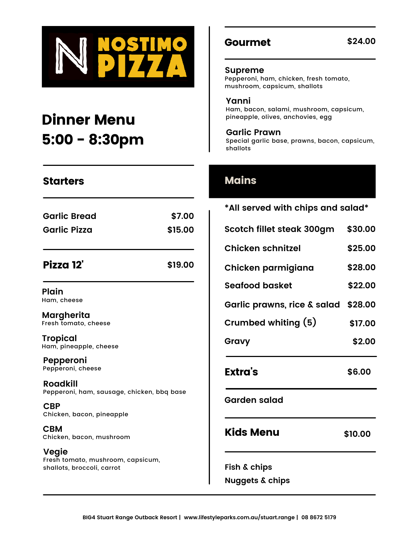

# Dinner Menu 5:00 - 8:30pm

| <b>Garlic Bread</b> | \$7.00  |
|---------------------|---------|
| <b>Garlic Pizza</b> | \$15.00 |
|                     |         |

#### Pizza 12' **\$19.00**

**Plain** Ham, cheese

**Margherita** Fresh tomato, cheese

**Tropical** Ham, pineapple, cheese

**Pepperoni** Pepperoni, cheese

**Roadkill** Pepperoni, ham, sausage, chicken, bbq base

**CBP** Chicken, bacon, pineapple

**CBM** Chicken, bacon, mushroom

**Vegie** Fresh tomato, mushroom, capsicum, shallots, broccoli, carrot

### Gourmet

**Supreme**

Pepperoni, ham, chicken, fresh tomato, mushroom, capsicum, shallots

**Yanni** Ham, bacon, salami, mushroom, capsicum, pineapple, olives, anchovies, egg

**Garlic Prawn** Special garlic base, prawns, bacon, capsicum, shallots

### Mains

| *All served with chips and salad* |         |
|-----------------------------------|---------|
| Scotch fillet steak 300gm         | \$30.00 |
| <b>Chicken schnitzel</b>          | \$25.00 |
| Chicken parmigiana                | \$28.00 |
| Seafood basket                    | \$22.00 |
| Garlic prawns, rice & salad       | \$28.00 |
| Crumbed whiting (5)               | \$17.00 |
| Gravy                             | \$2.00  |
| Extra's                           | \$6.00  |
| <b>Garden salad</b>               |         |
| Kids Menu                         | \$10.00 |
| Fish & chips                      |         |
| <b>Nuggets &amp; chips</b>        |         |